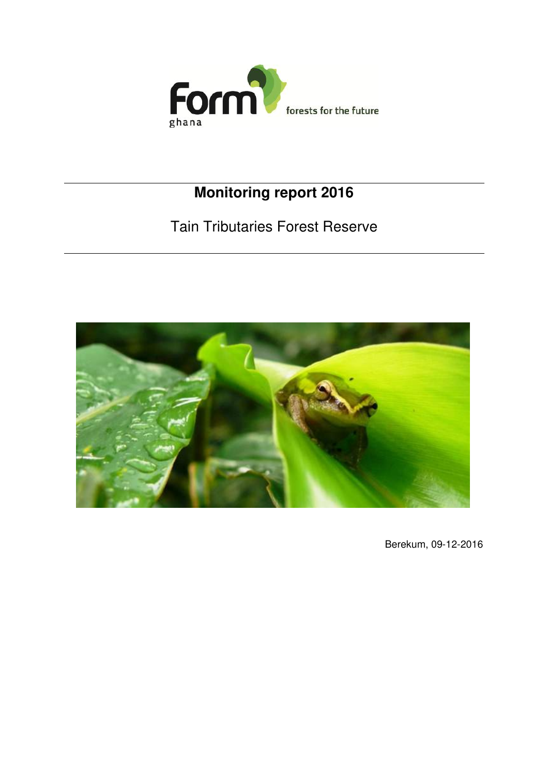

# **Monitoring report 2016**

# Tain Tributaries Forest Reserve



Berekum, 09-12-2016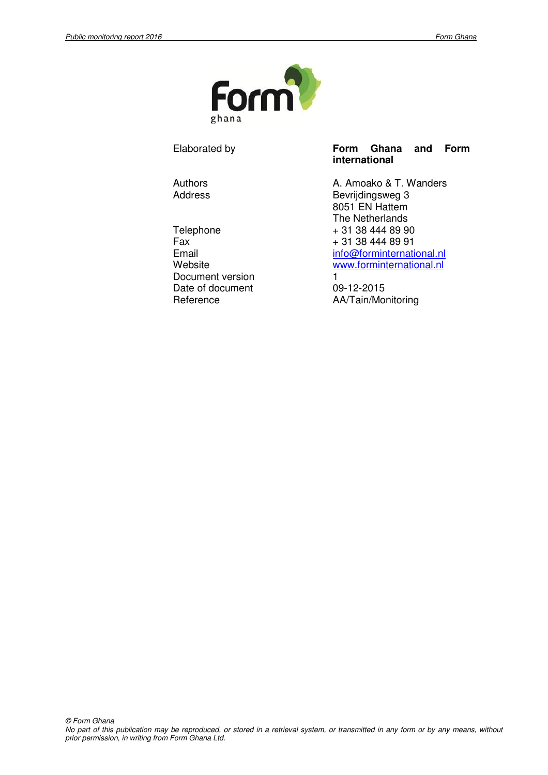

Telephone + 31 38 444 89 90<br>Fax + 31 38 444 89 91 Document version 1 Date of document 09-12-2015

#### Elaborated by **Form Ghana and Form international**

Authors **Authors A. Amoako & T. Wanders** Address Bevrijdingsweg 3 8051 EN Hattem The Netherlands  $+31384448991$ Email info@forminternational.nl<br>Website www.forminternational.nl www.forminternational.nl

Reference **AA/Tain/Monitoring**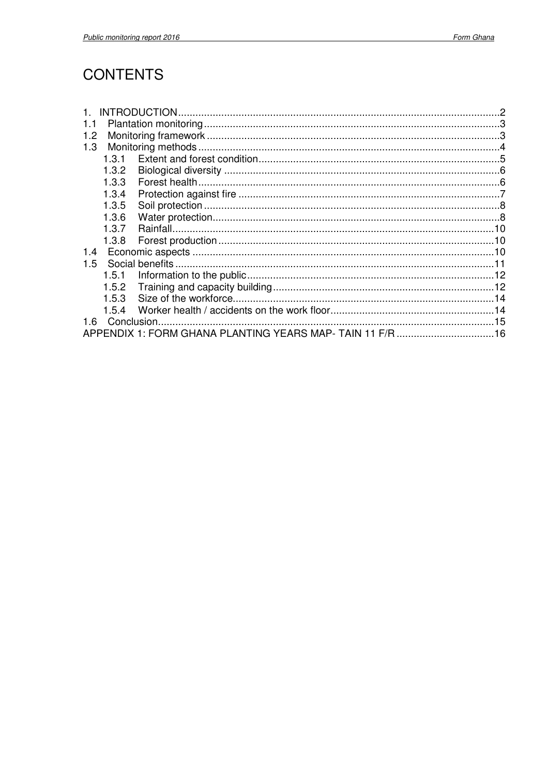## **CONTENTS**

|     |       |                                                          | 2 |
|-----|-------|----------------------------------------------------------|---|
| 1.1 |       |                                                          |   |
| 1.2 |       |                                                          |   |
| 1.3 |       |                                                          |   |
|     | 1.3.1 |                                                          |   |
|     | 1.3.2 |                                                          |   |
|     | 1.3.3 |                                                          |   |
|     | 1.3.4 |                                                          |   |
|     | 1.3.5 |                                                          |   |
|     | 1.3.6 |                                                          |   |
|     | 1.3.7 |                                                          |   |
|     | 1.3.8 |                                                          |   |
| 1.4 |       |                                                          |   |
| 1.5 |       |                                                          |   |
|     | 1.5.1 |                                                          |   |
|     | 1.5.2 |                                                          |   |
|     | 1.5.3 |                                                          |   |
|     | 1.5.4 |                                                          |   |
| 1.6 |       |                                                          |   |
|     |       | APPENDIX 1: FORM GHANA PLANTING YEARS MAP-TAIN 11 F/R 16 |   |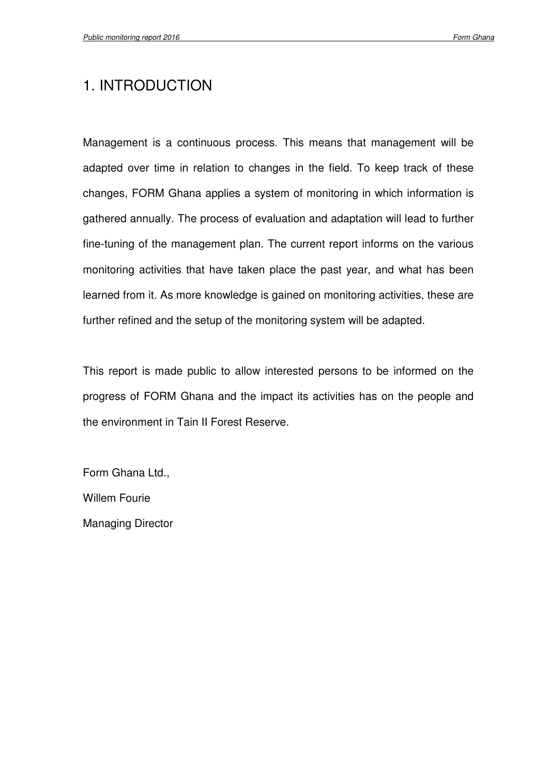## 1. INTRODUCTION

Management is a continuous process. This means that management will be adapted over time in relation to changes in the field. To keep track of these changes, FORM Ghana applies a system of monitoring in which information is gathered annually. The process of evaluation and adaptation will lead to further fine-tuning of the management plan. The current report informs on the various monitoring activities that have taken place the past year, and what has been learned from it. As more knowledge is gained on monitoring activities, these are further refined and the setup of the monitoring system will be adapted.

This report is made public to allow interested persons to be informed on the progress of FORM Ghana and the impact its activities has on the people and the environment in Tain II Forest Reserve.

Form Ghana Ltd., Willem Fourie Managing Director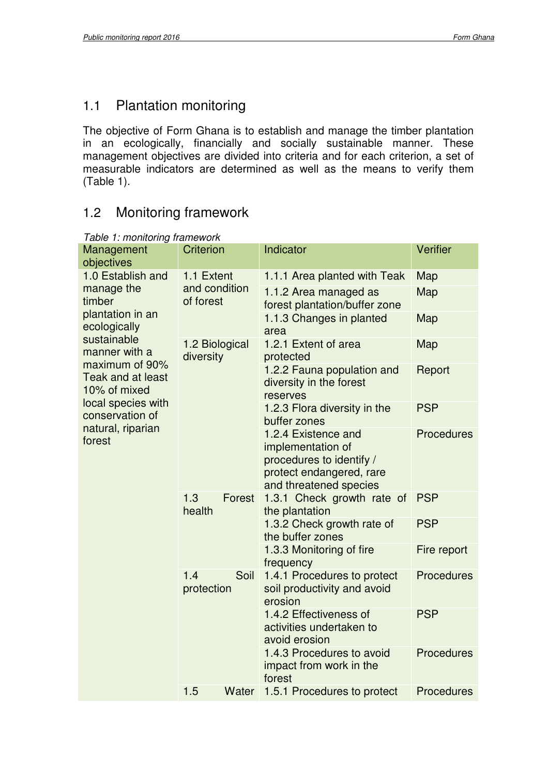## 1.1 Plantation monitoring

The objective of Form Ghana is to establish and manage the timber plantation in an ecologically, financially and socially sustainable manner. These management objectives are divided into criteria and for each criterion, a set of measurable indicators are determined as well as the means to verify them (Table 1).

### 1.2 Monitoring framework

| Management                                     | <b>Criterion</b>            | Indicator                                                                                                                  | Verifier          |
|------------------------------------------------|-----------------------------|----------------------------------------------------------------------------------------------------------------------------|-------------------|
| objectives                                     |                             |                                                                                                                            |                   |
| 1.0 Establish and                              | 1.1 Extent                  | 1.1.1 Area planted with Teak                                                                                               | Map               |
| manage the<br>timber                           | and condition<br>of forest  | 1.1.2 Area managed as<br>forest plantation/buffer zone                                                                     | Map               |
| plantation in an<br>ecologically               |                             | 1.1.3 Changes in planted<br>area                                                                                           | Map               |
| sustainable<br>manner with a<br>maximum of 90% | 1.2 Biological<br>diversity | 1.2.1 Extent of area<br>protected                                                                                          | Map               |
| Teak and at least<br>10% of mixed              |                             | 1.2.2 Fauna population and<br>diversity in the forest<br>reserves                                                          | Report            |
| local species with<br>conservation of          |                             | 1.2.3 Flora diversity in the<br>buffer zones                                                                               | <b>PSP</b>        |
| natural, riparian<br>forest                    |                             | 1.2.4 Existence and<br>implementation of<br>procedures to identify /<br>protect endangered, rare<br>and threatened species | <b>Procedures</b> |
|                                                | 1.3<br>Forest<br>health     | 1.3.1 Check growth rate of<br>the plantation                                                                               | <b>PSP</b>        |
|                                                |                             | 1.3.2 Check growth rate of<br>the buffer zones                                                                             | <b>PSP</b>        |
|                                                |                             | 1.3.3 Monitoring of fire<br>frequency                                                                                      | Fire report       |
|                                                | Soil<br>1.4<br>protection   | 1.4.1 Procedures to protect<br>soil productivity and avoid<br>erosion                                                      | <b>Procedures</b> |
|                                                |                             | 1.4.2 Effectiveness of<br>activities undertaken to<br>avoid erosion                                                        | <b>PSP</b>        |
|                                                |                             | 1.4.3 Procedures to avoid<br>impact from work in the<br>forest                                                             | <b>Procedures</b> |
|                                                | 1.5<br>Water                | 1.5.1 Procedures to protect                                                                                                | <b>Procedures</b> |

#### Table 1: monitoring framework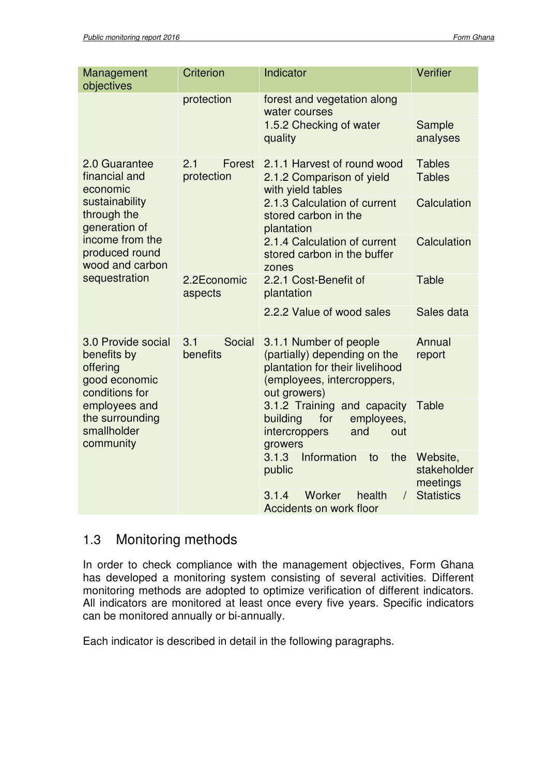| Management<br>objectives                                                         | <b>Criterion</b>          | Indicator                                                                                                                               | <b>Verifier</b>                     |
|----------------------------------------------------------------------------------|---------------------------|-----------------------------------------------------------------------------------------------------------------------------------------|-------------------------------------|
|                                                                                  | protection                | forest and vegetation along<br>water courses                                                                                            |                                     |
|                                                                                  |                           | 1.5.2 Checking of water<br>quality                                                                                                      | Sample<br>analyses                  |
| 2.0 Guarantee                                                                    | 2.1<br>Forest             | 2.1.1 Harvest of round wood                                                                                                             | <b>Tables</b>                       |
| financial and<br>economic                                                        | protection                | 2.1.2 Comparison of yield<br>with yield tables                                                                                          | <b>Tables</b>                       |
| sustainability<br>through the<br>generation of                                   |                           | 2.1.3 Calculation of current<br>stored carbon in the<br>plantation                                                                      | Calculation                         |
| income from the<br>produced round<br>wood and carbon                             |                           | 2.1.4 Calculation of current<br>stored carbon in the buffer<br>zones                                                                    | Calculation                         |
| sequestration                                                                    | 2.2Economic<br>aspects    | 2.2.1 Cost-Benefit of<br>plantation                                                                                                     | <b>Table</b>                        |
|                                                                                  |                           | 2.2.2 Value of wood sales                                                                                                               | Sales data                          |
| 3.0 Provide social<br>benefits by<br>offering<br>good economic<br>conditions for | 3.1<br>Social<br>benefits | 3.1.1 Number of people<br>(partially) depending on the<br>plantation for their livelihood<br>(employees, intercroppers,<br>out growers) | Annual<br>report                    |
| employees and<br>the surrounding<br>smallholder<br>community                     |                           | 3.1.2 Training and capacity<br>building<br>for<br>employees,<br>intercroppers<br>and<br>out<br>growers                                  | Table                               |
|                                                                                  |                           | Information<br>3.1.3<br>the<br>to<br>public                                                                                             | Website,<br>stakeholder<br>meetings |
|                                                                                  |                           | Worker<br>health<br>3.1.4<br>$\sqrt{2}$<br>Accidents on work floor                                                                      | <b>Statistics</b>                   |

### 1.3 Monitoring methods

In order to check compliance with the management objectives, Form Ghana has developed a monitoring system consisting of several activities. Different monitoring methods are adopted to optimize verification of different indicators. All indicators are monitored at least once every five years. Specific indicators can be monitored annually or bi-annually.

Each indicator is described in detail in the following paragraphs.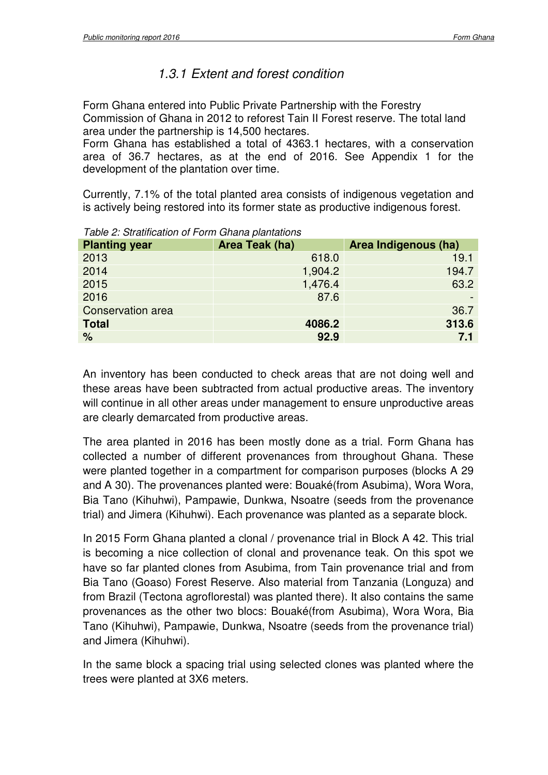### 1.3.1 Extent and forest condition

Form Ghana entered into Public Private Partnership with the Forestry Commission of Ghana in 2012 to reforest Tain II Forest reserve. The total land area under the partnership is 14,500 hectares.

Form Ghana has established a total of 4363.1 hectares, with a conservation area of 36.7 hectares, as at the end of 2016. See Appendix 1 for the development of the plantation over time.

Currently, 7.1% of the total planted area consists of indigenous vegetation and is actively being restored into its former state as productive indigenous forest.

| $\frac{1}{2}$            |                |                      |  |  |  |  |  |
|--------------------------|----------------|----------------------|--|--|--|--|--|
| <b>Planting year</b>     | Area Teak (ha) | Area Indigenous (ha) |  |  |  |  |  |
| 2013                     | 618.0          | 19.1                 |  |  |  |  |  |
| 2014                     | 1,904.2        | 194.7                |  |  |  |  |  |
| 2015                     | 1,476.4        | 63.2                 |  |  |  |  |  |
| 2016                     | 87.6           |                      |  |  |  |  |  |
| <b>Conservation area</b> |                | 36.7                 |  |  |  |  |  |
| <b>Total</b>             | 4086.2         | 313.6                |  |  |  |  |  |
| $\%$                     | 92.9           | 7.1                  |  |  |  |  |  |
|                          |                |                      |  |  |  |  |  |

Table 2: Stratification of Form Ghana plantations

An inventory has been conducted to check areas that are not doing well and these areas have been subtracted from actual productive areas. The inventory will continue in all other areas under management to ensure unproductive areas are clearly demarcated from productive areas.

The area planted in 2016 has been mostly done as a trial. Form Ghana has collected a number of different provenances from throughout Ghana. These were planted together in a compartment for comparison purposes (blocks A 29 and A 30). The provenances planted were: Bouaké(from Asubima), Wora Wora, Bia Tano (Kihuhwi), Pampawie, Dunkwa, Nsoatre (seeds from the provenance trial) and Jimera (Kihuhwi). Each provenance was planted as a separate block.

In 2015 Form Ghana planted a clonal / provenance trial in Block A 42. This trial is becoming a nice collection of clonal and provenance teak. On this spot we have so far planted clones from Asubima, from Tain provenance trial and from Bia Tano (Goaso) Forest Reserve. Also material from Tanzania (Longuza) and from Brazil (Tectona agroflorestal) was planted there). It also contains the same provenances as the other two blocs: Bouaké(from Asubima), Wora Wora, Bia Tano (Kihuhwi), Pampawie, Dunkwa, Nsoatre (seeds from the provenance trial) and Jimera (Kihuhwi).

In the same block a spacing trial using selected clones was planted where the trees were planted at 3X6 meters.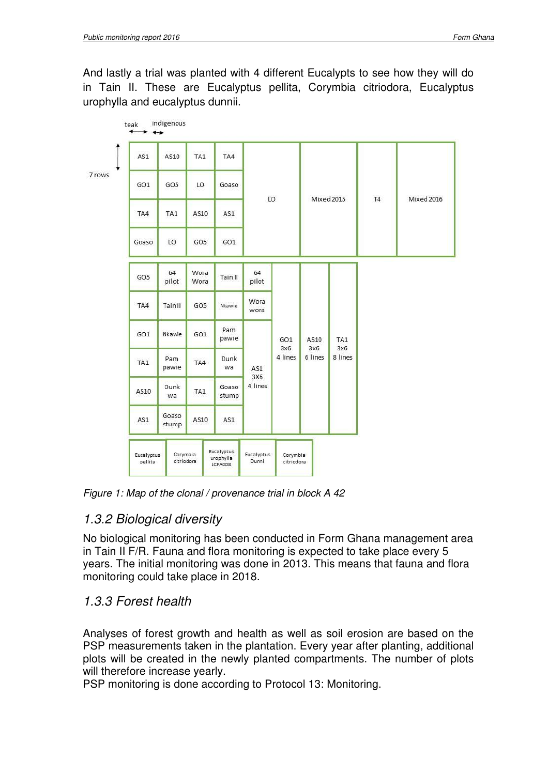And lastly a trial was planted with 4 different Eucalypts to see how they will do in Tain II. These are Eucalyptus pellita, Corymbia citriodora, Eucalyptus urophylla and eucalyptus dunnii.



Figure 1: Map of the clonal / provenance trial in block A 42

#### 1.3.2 Biological diversity

No biological monitoring has been conducted in Form Ghana management area in Tain II F/R. Fauna and flora monitoring is expected to take place every 5 years. The initial monitoring was done in 2013. This means that fauna and flora monitoring could take place in 2018.

#### 1.3.3 Forest health

Analyses of forest growth and health as well as soil erosion are based on the PSP measurements taken in the plantation. Every year after planting, additional plots will be created in the newly planted compartments. The number of plots will therefore increase yearly.

PSP monitoring is done according to Protocol 13: Monitoring.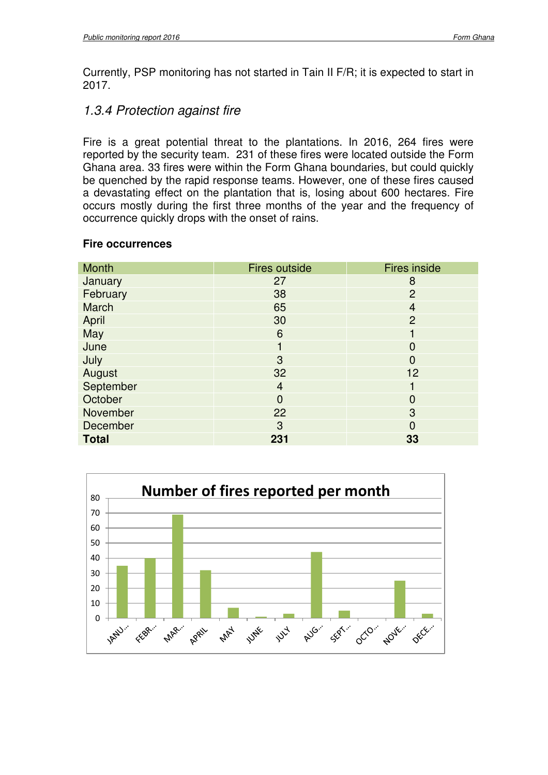Currently, PSP monitoring has not started in Tain II F/R; it is expected to start in 2017.

#### 1.3.4 Protection against fire

Fire is a great potential threat to the plantations. In 2016, 264 fires were reported by the security team. 231 of these fires were located outside the Form Ghana area. 33 fires were within the Form Ghana boundaries, but could quickly be quenched by the rapid response teams. However, one of these fires caused a devastating effect on the plantation that is, losing about 600 hectares. Fire occurs mostly during the first three months of the year and the frequency of occurrence quickly drops with the onset of rains.

#### **Fire occurrences**

| Month        | <b>Fires outside</b> | <b>Fires inside</b> |
|--------------|----------------------|---------------------|
| January      | 27                   | 8                   |
| February     | 38                   | $\overline{2}$      |
| March        | 65                   | $\overline{4}$      |
| April        | 30                   | $\overline{2}$      |
| May          | 6                    |                     |
| June         |                      | 0                   |
| July         | 3                    | 0                   |
| August       | 32                   | 12                  |
| September    | $\overline{4}$       |                     |
| October      | $\overline{0}$       | 0                   |
| November     | 22                   | 3                   |
| December     | 3                    | $\overline{0}$      |
| <b>Total</b> | 231                  | 33                  |

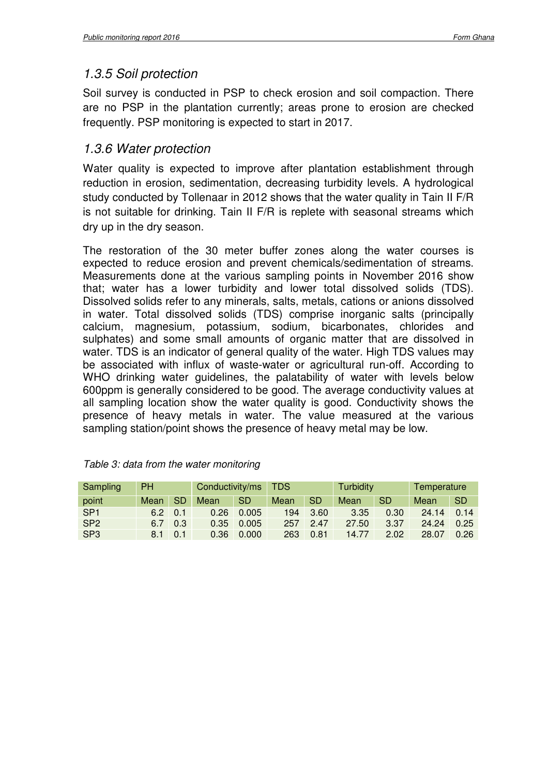### 1.3.5 Soil protection

Soil survey is conducted in PSP to check erosion and soil compaction. There are no PSP in the plantation currently; areas prone to erosion are checked frequently. PSP monitoring is expected to start in 2017.

#### 1.3.6 Water protection

Water quality is expected to improve after plantation establishment through reduction in erosion, sedimentation, decreasing turbidity levels. A hydrological study conducted by Tollenaar in 2012 shows that the water quality in Tain II F/R is not suitable for drinking. Tain II F/R is replete with seasonal streams which dry up in the dry season.

The restoration of the 30 meter buffer zones along the water courses is expected to reduce erosion and prevent chemicals/sedimentation of streams. Measurements done at the various sampling points in November 2016 show that; water has a lower turbidity and lower total dissolved solids (TDS). Dissolved solids refer to any minerals, salts, metals, cations or anions dissolved in water. Total dissolved solids (TDS) comprise inorganic salts (principally calcium, magnesium, potassium, sodium, bicarbonates, chlorides and sulphates) and some small amounts of organic matter that are dissolved in water. TDS is an indicator of general quality of the water. High TDS values may be associated with influx of waste-water or agricultural run-off. According to WHO drinking water guidelines, the palatability of water with levels below 600ppm is generally considered to be good. The average conductivity values at all sampling location show the water quality is good. Conductivity shows the presence of heavy metals in water. The value measured at the various sampling station/point shows the presence of heavy metal may be low.

| Sampling        | <b>PH</b> |           | Conductivity/ms |           | <b>TDS</b> |           | <b>Turbidity</b> |           | Temperature |           |
|-----------------|-----------|-----------|-----------------|-----------|------------|-----------|------------------|-----------|-------------|-----------|
| point           | Mean      | <b>SD</b> | Mean            | <b>SD</b> | Mean       | <b>SD</b> | Mean             | <b>SD</b> | Mean        | <b>SD</b> |
| SP <sub>1</sub> | 6.2       | 0.1       | 0.26            | 0.005     | 194        | 3.60      | 3.35             | 0.30      | 24.14       | 0.14      |
| SP <sub>2</sub> | 6.7       | 0.3       | 0.35            | 0.005     | 257        | 2.47      | 27.50            | 3.37      | 24.24       | 0.25      |
| SP <sub>3</sub> | 8.1       | 0.1       | 0.36            | 0.000     | 263        | 0.81      | 14.77            | 2.02      | 28.07       | 0.26      |

| Table 3: data from the water monitoring |  |  |
|-----------------------------------------|--|--|
|-----------------------------------------|--|--|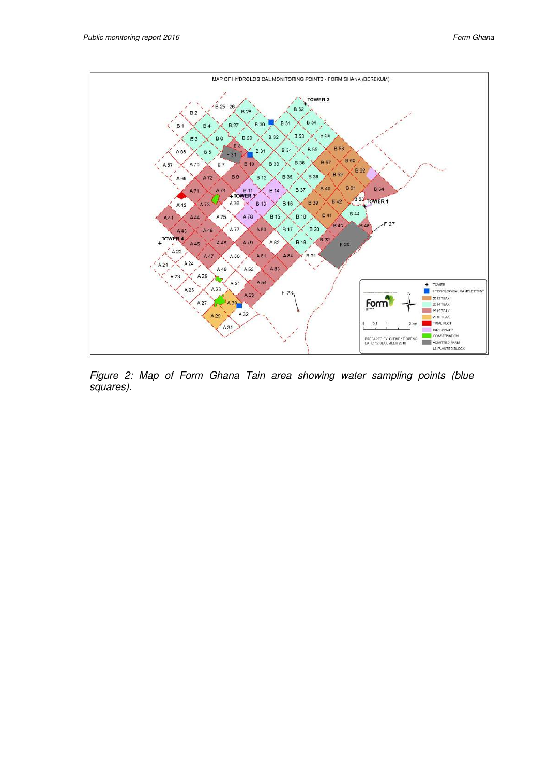

Figure 2: Map of Form Ghana Tain area showing water sampling points (blue squares).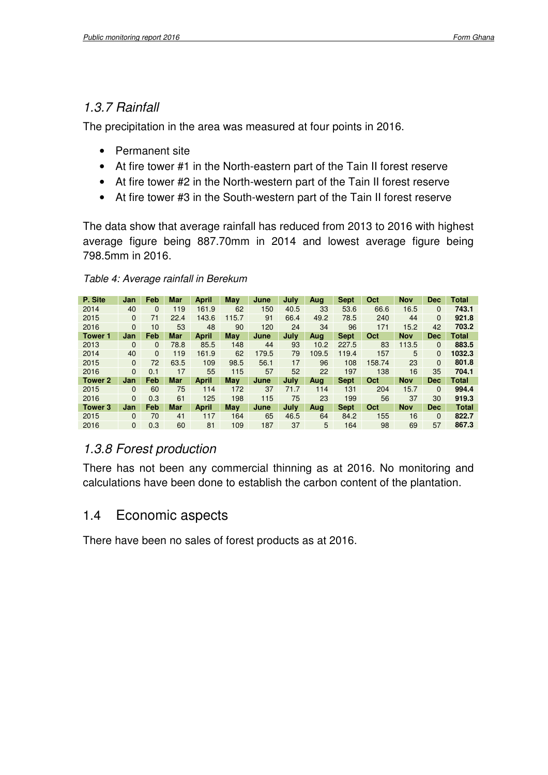#### 1.3.7 Rainfall

The precipitation in the area was measured at four points in 2016.

- Permanent site
- At fire tower #1 in the North-eastern part of the Tain II forest reserve
- At fire tower #2 in the North-western part of the Tain II forest reserve
- At fire tower #3 in the South-western part of the Tain II forest reserve

The data show that average rainfall has reduced from 2013 to 2016 with highest average figure being 887.70mm in 2014 and lowest average figure being 798.5mm in 2016.

#### Table 4: Average rainfall in Berekum

| P. Site        | Jan          | Feb      | Mar        | <b>April</b> | Mav   | June  | July | Aug   | <b>Sept</b> | Oct    | <b>Nov</b> | Dec        | <b>Total</b> |
|----------------|--------------|----------|------------|--------------|-------|-------|------|-------|-------------|--------|------------|------------|--------------|
| 2014           | 40           | $\Omega$ | 119        | 161.9        | 62    | 150   | 40.5 | 33    | 53.6        | 66.6   | 16.5       | $\Omega$   | 743.1        |
| 2015           | $\Omega$     | 71       | 22.4       | 143.6        | 115.7 | 91    | 66.4 | 49.2  | 78.5        | 240    | 44         | $\Omega$   | 921.8        |
| 2016           | 0            | 10       | 53         | 48           | 90    | 120   | 24   | 34    | 96          | 171    | 15.2       | 42         | 703.2        |
| <b>Tower 1</b> | Jan          | Feb      | <b>Mar</b> | <b>April</b> | May   | June  | July | Aug   | <b>Sept</b> | Oct    | <b>Nov</b> | <b>Dec</b> | <b>Total</b> |
| 2013           | $\Omega$     | $\Omega$ | 78.8       | 85.5         | 148   | 44    | 93   | 10.2  | 227.5       | 83     | 113.5      | $\Omega$   | 883.5        |
| 2014           | 40           | $\Omega$ | 119        | 161.9        | 62    | 179.5 | 79   | 109.5 | 119.4       | 157    | 5          | 0          | 1032.3       |
| 2015           | $\mathbf{0}$ | 72       | 63.5       | 109          | 98.5  | 56.1  | 17   | 96    | 108         | 158.74 | 23         | 0          | 801.8        |
| 2016           | 0            | 0.1      | 17         | 55           | 115   | 57    | 52   | 22    | 197         | 138    | 16         | 35         | 704.1        |
| Tower 2        | Jan          | Feb      | <b>Mar</b> | <b>April</b> | May   | June  | July | Aug   | <b>Sept</b> | Oct    | <b>Nov</b> | <b>Dec</b> | <b>Total</b> |
| 2015           | 0            | 60       | 75         | 114          | 172   | 37    | 71.7 | 114   | 131         | 204    | 15.7       | $\Omega$   | 994.4        |
| 2016           | 0            | 0.3      | 61         | 125          | 198   | 115   | 75   | 23    | 199         | 56     | 37         | 30         | 919.3        |
| Tower 3        | Jan          | Feb      | <b>Mar</b> | <b>April</b> | May   | June  | July | Aua   | <b>Sept</b> | Oct    | <b>Nov</b> | <b>Dec</b> | <b>Total</b> |
| 2015           | 0            | 70       | 41         | 117          | 164   | 65    | 46.5 | 64    | 84.2        | 155    | 16         | 0          | 822.7        |
| 2016           | $\mathbf{0}$ | 0.3      | 60         | 81           | 109   | 187   | 37   | 5     | 164         | 98     | 69         | 57         | 867.3        |

#### 1.3.8 Forest production

There has not been any commercial thinning as at 2016. No monitoring and calculations have been done to establish the carbon content of the plantation.

## 1.4 Economic aspects

There have been no sales of forest products as at 2016.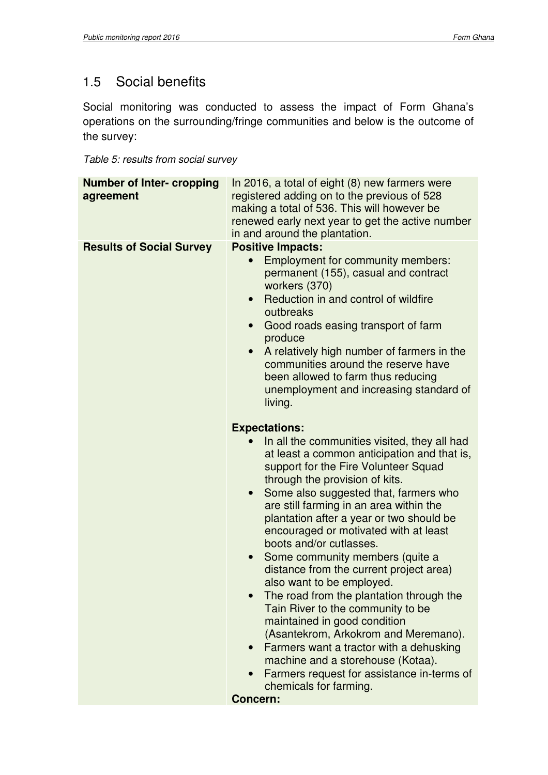## 1.5 Social benefits

Social monitoring was conducted to assess the impact of Form Ghana's operations on the surrounding/fringe communities and below is the outcome of the survey:

Table 5: results from social survey

| <b>Number of Inter- cropping</b><br>agreement | In 2016, a total of eight (8) new farmers were<br>registered adding on to the previous of 528<br>making a total of 536. This will however be<br>renewed early next year to get the active number<br>in and around the plantation.                                                                                                                                                                                                                                                                                                                                                                                                                                                                                                                                                                                                                                          |
|-----------------------------------------------|----------------------------------------------------------------------------------------------------------------------------------------------------------------------------------------------------------------------------------------------------------------------------------------------------------------------------------------------------------------------------------------------------------------------------------------------------------------------------------------------------------------------------------------------------------------------------------------------------------------------------------------------------------------------------------------------------------------------------------------------------------------------------------------------------------------------------------------------------------------------------|
| <b>Results of Social Survey</b>               | <b>Positive Impacts:</b><br><b>Employment for community members:</b><br>permanent (155), casual and contract<br>workers (370)<br>Reduction in and control of wildfire<br>$\bullet$<br>outbreaks<br>Good roads easing transport of farm<br>$\bullet$<br>produce<br>A relatively high number of farmers in the<br>$\bullet$<br>communities around the reserve have<br>been allowed to farm thus reducing<br>unemployment and increasing standard of<br>living.                                                                                                                                                                                                                                                                                                                                                                                                               |
|                                               | <b>Expectations:</b><br>In all the communities visited, they all had<br>at least a common anticipation and that is,<br>support for the Fire Volunteer Squad<br>through the provision of kits.<br>Some also suggested that, farmers who<br>$\bullet$<br>are still farming in an area within the<br>plantation after a year or two should be<br>encouraged or motivated with at least<br>boots and/or cutlasses.<br>Some community members (quite a<br>$\bullet$<br>distance from the current project area)<br>also want to be employed.<br>The road from the plantation through the<br>Tain River to the community to be<br>maintained in good condition<br>(Asantekrom, Arkokrom and Meremano).<br>Farmers want a tractor with a dehusking<br>machine and a storehouse (Kotaa).<br>Farmers request for assistance in-terms of<br>chemicals for farming.<br><b>Concern:</b> |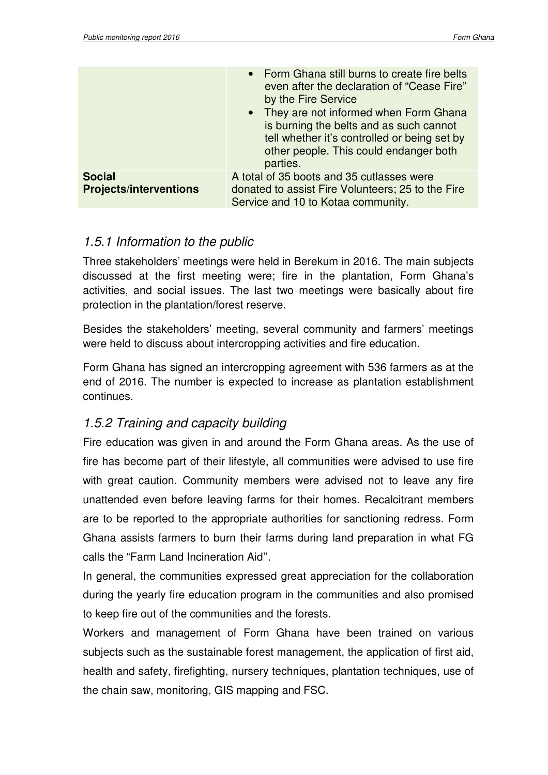|                                                | • Form Ghana still burns to create fire belts<br>even after the declaration of "Cease Fire"<br>by the Fire Service<br>• They are not informed when Form Ghana<br>is burning the belts and as such cannot<br>tell whether it's controlled or being set by<br>other people. This could endanger both<br>parties. |
|------------------------------------------------|----------------------------------------------------------------------------------------------------------------------------------------------------------------------------------------------------------------------------------------------------------------------------------------------------------------|
| <b>Social</b><br><b>Projects/interventions</b> | A total of 35 boots and 35 cutlasses were<br>donated to assist Fire Volunteers; 25 to the Fire<br>Service and 10 to Kotaa community.                                                                                                                                                                           |

#### 1.5.1 Information to the public

Three stakeholders' meetings were held in Berekum in 2016. The main subjects discussed at the first meeting were; fire in the plantation, Form Ghana's activities, and social issues. The last two meetings were basically about fire protection in the plantation/forest reserve.

Besides the stakeholders' meeting, several community and farmers' meetings were held to discuss about intercropping activities and fire education.

Form Ghana has signed an intercropping agreement with 536 farmers as at the end of 2016. The number is expected to increase as plantation establishment continues.

#### 1.5.2 Training and capacity building

Fire education was given in and around the Form Ghana areas. As the use of fire has become part of their lifestyle, all communities were advised to use fire with great caution. Community members were advised not to leave any fire unattended even before leaving farms for their homes. Recalcitrant members are to be reported to the appropriate authorities for sanctioning redress. Form Ghana assists farmers to burn their farms during land preparation in what FG calls the "Farm Land Incineration Aid''.

In general, the communities expressed great appreciation for the collaboration during the yearly fire education program in the communities and also promised to keep fire out of the communities and the forests.

Workers and management of Form Ghana have been trained on various subjects such as the sustainable forest management, the application of first aid, health and safety, firefighting, nursery techniques, plantation techniques, use of the chain saw, monitoring, GIS mapping and FSC.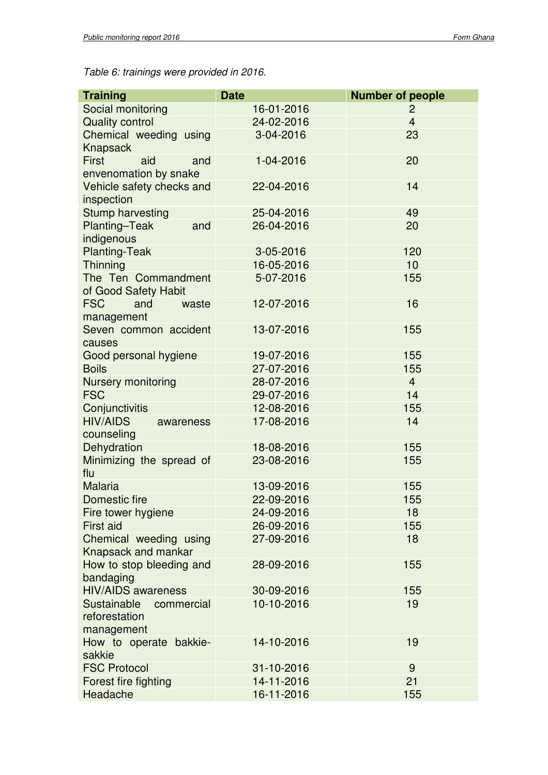Table 6: trainings were provided in 2016.

| <b>Training</b>                                          | <b>Date</b> | <b>Number of people</b> |
|----------------------------------------------------------|-------------|-------------------------|
| Social monitoring                                        | 16-01-2016  | 2                       |
| <b>Quality control</b>                                   | 24-02-2016  | $\overline{4}$          |
| Chemical weeding using<br>Knapsack                       | 3-04-2016   | 23                      |
| <b>First</b><br>aid<br>and<br>envenomation by snake      | 1-04-2016   | 20                      |
| Vehicle safety checks and<br>inspection                  | 22-04-2016  | 14                      |
| <b>Stump harvesting</b>                                  | 25-04-2016  | 49                      |
| Planting-Teak<br>and<br>indigenous                       | 26-04-2016  | 20                      |
| <b>Planting-Teak</b>                                     | 3-05-2016   | 120                     |
| Thinning                                                 | 16-05-2016  | 10                      |
| The Ten Commandment<br>of Good Safety Habit              | 5-07-2016   | 155                     |
| <b>FSC</b><br>and<br>waste<br>management                 | 12-07-2016  | 16                      |
| Seven common accident<br>causes                          | 13-07-2016  | 155                     |
| Good personal hygiene                                    | 19-07-2016  | 155                     |
| <b>Boils</b>                                             | 27-07-2016  | 155                     |
| Nursery monitoring                                       | 28-07-2016  | $\overline{4}$          |
| <b>FSC</b>                                               | 29-07-2016  | 14                      |
| Conjunctivitis                                           | 12-08-2016  | 155                     |
| <b>HIV/AIDS</b><br>awareness<br>counseling               | 17-08-2016  | 14                      |
| Dehydration                                              | 18-08-2016  | 155                     |
| Minimizing the spread of<br>flu                          | 23-08-2016  | 155                     |
| <b>Malaria</b>                                           | 13-09-2016  | 155                     |
| Domestic fire                                            | 22-09-2016  | 155                     |
| Fire tower hygiene                                       | 24-09-2016  | 18                      |
| <b>First aid</b>                                         | 26-09-2016  | 155                     |
| Chemical weeding using<br>Knapsack and mankar            | 27-09-2016  | 18                      |
| How to stop bleeding and<br>bandaging                    | 28-09-2016  | 155                     |
| <b>HIV/AIDS</b> awareness                                | 30-09-2016  | 155                     |
| Sustainable<br>commercial<br>reforestation<br>management | 10-10-2016  | 19                      |
| How to operate bakkie-<br>sakkie                         | 14-10-2016  | 19                      |
| <b>FSC Protocol</b>                                      | 31-10-2016  | 9                       |
| Forest fire fighting                                     | 14-11-2016  | 21                      |
| Headache                                                 | 16-11-2016  | 155                     |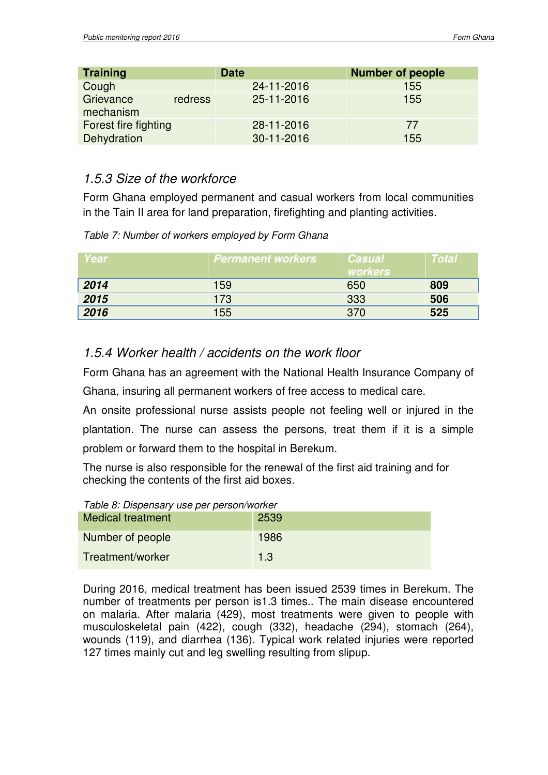| <b>Training</b>        |         | <b>Date</b> | <b>Number of people</b> |
|------------------------|---------|-------------|-------------------------|
| Cough                  |         | 24-11-2016  | 155                     |
| Grievance<br>mechanism | redress | 25-11-2016  | 155                     |
| Forest fire fighting   |         | 28-11-2016  | 77                      |
| Dehydration            |         | 30-11-2016  | 155                     |

#### 1.5.3 Size of the workforce

Form Ghana employed permanent and casual workers from local communities in the Tain II area for land preparation, firefighting and planting activities.

| Table 7: Number of workers employed by Form Ghana |
|---------------------------------------------------|
|---------------------------------------------------|

| <b>Year</b> | <i>Nermanent workers</i> | Casual<br><b>workers</b> | Total |
|-------------|--------------------------|--------------------------|-------|
| 2014        | 159                      | 650                      | 809   |
| 2015        | 173                      | 333                      | 506   |
| 2016        | 155                      | 370                      | 525   |

#### 1.5.4 Worker health / accidents on the work floor

Form Ghana has an agreement with the National Health Insurance Company of Ghana, insuring all permanent workers of free access to medical care.

An onsite professional nurse assists people not feeling well or injured in the plantation. The nurse can assess the persons, treat them if it is a simple problem or forward them to the hospital in Berekum.

The nurse is also responsible for the renewal of the first aid training and for checking the contents of the first aid boxes.

| Table 8: Dispensary use per person/worker |      |  |
|-------------------------------------------|------|--|
| <b>Medical treatment</b>                  | 2539 |  |
| Number of people                          | 1986 |  |
| Treatment/worker                          | 1.3  |  |

During 2016, medical treatment has been issued 2539 times in Berekum. The number of treatments per person is1.3 times.. The main disease encountered on malaria. After malaria (429), most treatments were given to people with musculoskeletal pain (422), cough (332), headache (294), stomach (264), wounds (119), and diarrhea (136). Typical work related injuries were reported 127 times mainly cut and leg swelling resulting from slipup.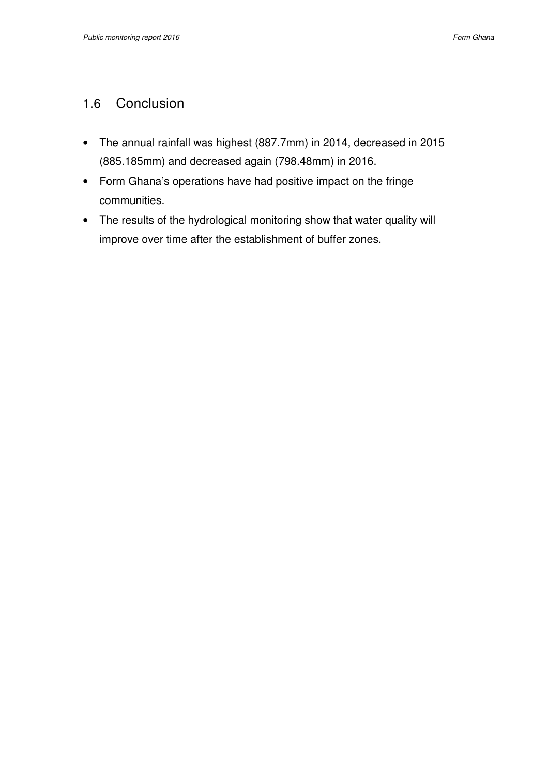### 1.6 Conclusion

- The annual rainfall was highest (887.7mm) in 2014, decreased in 2015 (885.185mm) and decreased again (798.48mm) in 2016.
- Form Ghana's operations have had positive impact on the fringe communities.
- The results of the hydrological monitoring show that water quality will improve over time after the establishment of buffer zones.